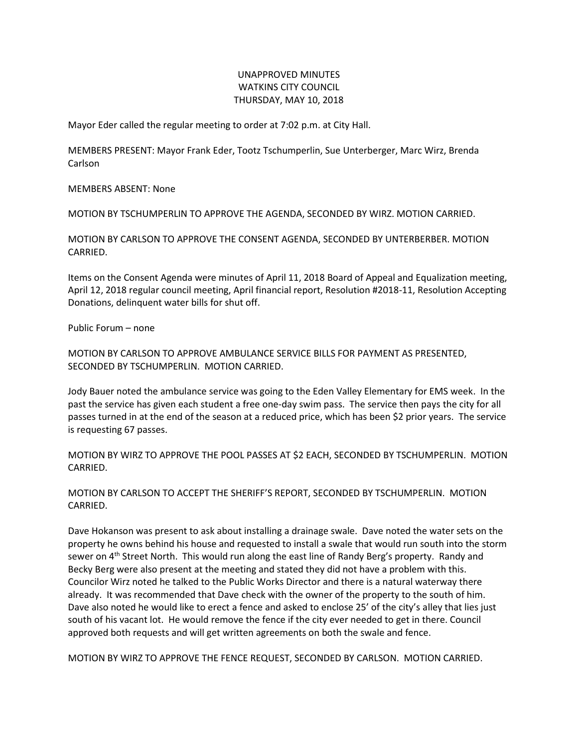## UNAPPROVED MINUTES WATKINS CITY COUNCIL THURSDAY, MAY 10, 2018

Mayor Eder called the regular meeting to order at 7:02 p.m. at City Hall.

MEMBERS PRESENT: Mayor Frank Eder, Tootz Tschumperlin, Sue Unterberger, Marc Wirz, Brenda Carlson

MEMBERS ABSENT: None

MOTION BY TSCHUMPERLIN TO APPROVE THE AGENDA, SECONDED BY WIRZ. MOTION CARRIED.

MOTION BY CARLSON TO APPROVE THE CONSENT AGENDA, SECONDED BY UNTERBERBER. MOTION CARRIED.

Items on the Consent Agenda were minutes of April 11, 2018 Board of Appeal and Equalization meeting, April 12, 2018 regular council meeting, April financial report, Resolution #2018-11, Resolution Accepting Donations, delinquent water bills for shut off.

Public Forum – none

MOTION BY CARLSON TO APPROVE AMBULANCE SERVICE BILLS FOR PAYMENT AS PRESENTED, SECONDED BY TSCHUMPERLIN. MOTION CARRIED.

Jody Bauer noted the ambulance service was going to the Eden Valley Elementary for EMS week. In the past the service has given each student a free one-day swim pass. The service then pays the city for all passes turned in at the end of the season at a reduced price, which has been \$2 prior years. The service is requesting 67 passes.

MOTION BY WIRZ TO APPROVE THE POOL PASSES AT \$2 EACH, SECONDED BY TSCHUMPERLIN. MOTION CARRIED.

MOTION BY CARLSON TO ACCEPT THE SHERIFF'S REPORT, SECONDED BY TSCHUMPERLIN. MOTION CARRIED.

Dave Hokanson was present to ask about installing a drainage swale. Dave noted the water sets on the property he owns behind his house and requested to install a swale that would run south into the storm sewer on 4<sup>th</sup> Street North. This would run along the east line of Randy Berg's property. Randy and Becky Berg were also present at the meeting and stated they did not have a problem with this. Councilor Wirz noted he talked to the Public Works Director and there is a natural waterway there already. It was recommended that Dave check with the owner of the property to the south of him. Dave also noted he would like to erect a fence and asked to enclose 25' of the city's alley that lies just south of his vacant lot. He would remove the fence if the city ever needed to get in there. Council approved both requests and will get written agreements on both the swale and fence.

MOTION BY WIRZ TO APPROVE THE FENCE REQUEST, SECONDED BY CARLSON. MOTION CARRIED.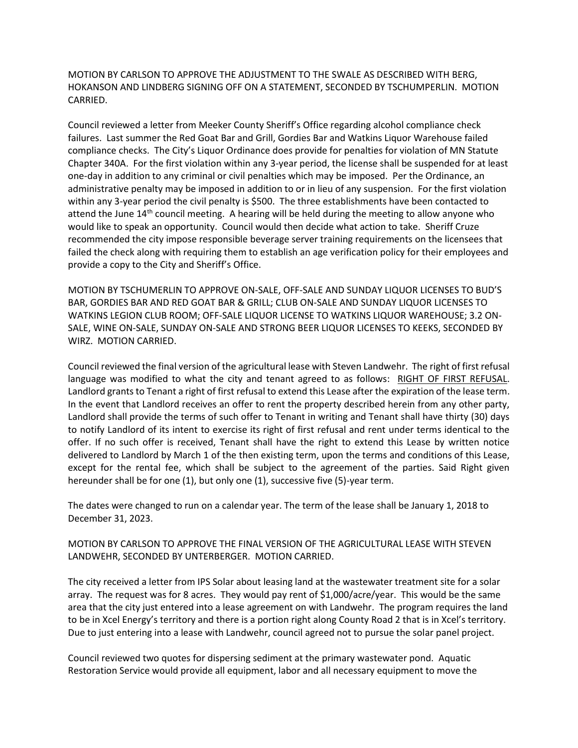MOTION BY CARLSON TO APPROVE THE ADJUSTMENT TO THE SWALE AS DESCRIBED WITH BERG, HOKANSON AND LINDBERG SIGNING OFF ON A STATEMENT, SECONDED BY TSCHUMPERLIN. MOTION CARRIED.

Council reviewed a letter from Meeker County Sheriff's Office regarding alcohol compliance check failures. Last summer the Red Goat Bar and Grill, Gordies Bar and Watkins Liquor Warehouse failed compliance checks. The City's Liquor Ordinance does provide for penalties for violation of MN Statute Chapter 340A. For the first violation within any 3-year period, the license shall be suspended for at least one-day in addition to any criminal or civil penalties which may be imposed. Per the Ordinance, an administrative penalty may be imposed in addition to or in lieu of any suspension. For the first violation within any 3-year period the civil penalty is \$500. The three establishments have been contacted to attend the June  $14<sup>th</sup>$  council meeting. A hearing will be held during the meeting to allow anyone who would like to speak an opportunity. Council would then decide what action to take. Sheriff Cruze recommended the city impose responsible beverage server training requirements on the licensees that failed the check along with requiring them to establish an age verification policy for their employees and provide a copy to the City and Sheriff's Office.

MOTION BY TSCHUMERLIN TO APPROVE ON-SALE, OFF-SALE AND SUNDAY LIQUOR LICENSES TO BUD'S BAR, GORDIES BAR AND RED GOAT BAR & GRILL; CLUB ON-SALE AND SUNDAY LIQUOR LICENSES TO WATKINS LEGION CLUB ROOM; OFF-SALE LIQUOR LICENSE TO WATKINS LIQUOR WAREHOUSE; 3.2 ON-SALE, WINE ON-SALE, SUNDAY ON-SALE AND STRONG BEER LIQUOR LICENSES TO KEEKS, SECONDED BY WIRZ. MOTION CARRIED.

Council reviewed the final version of the agricultural lease with Steven Landwehr. The right of first refusal language was modified to what the city and tenant agreed to as follows: RIGHT OF FIRST REFUSAL. Landlord grants to Tenant a right of first refusal to extend this Lease after the expiration of the lease term. In the event that Landlord receives an offer to rent the property described herein from any other party, Landlord shall provide the terms of such offer to Tenant in writing and Tenant shall have thirty (30) days to notify Landlord of its intent to exercise its right of first refusal and rent under terms identical to the offer. If no such offer is received, Tenant shall have the right to extend this Lease by written notice delivered to Landlord by March 1 of the then existing term, upon the terms and conditions of this Lease, except for the rental fee, which shall be subject to the agreement of the parties. Said Right given hereunder shall be for one (1), but only one (1), successive five (5)-year term.

The dates were changed to run on a calendar year. The term of the lease shall be January 1, 2018 to December 31, 2023.

## MOTION BY CARLSON TO APPROVE THE FINAL VERSION OF THE AGRICULTURAL LEASE WITH STEVEN LANDWEHR, SECONDED BY UNTERBERGER. MOTION CARRIED.

The city received a letter from IPS Solar about leasing land at the wastewater treatment site for a solar array. The request was for 8 acres. They would pay rent of \$1,000/acre/year. This would be the same area that the city just entered into a lease agreement on with Landwehr. The program requires the land to be in Xcel Energy's territory and there is a portion right along County Road 2 that is in Xcel's territory. Due to just entering into a lease with Landwehr, council agreed not to pursue the solar panel project.

Council reviewed two quotes for dispersing sediment at the primary wastewater pond. Aquatic Restoration Service would provide all equipment, labor and all necessary equipment to move the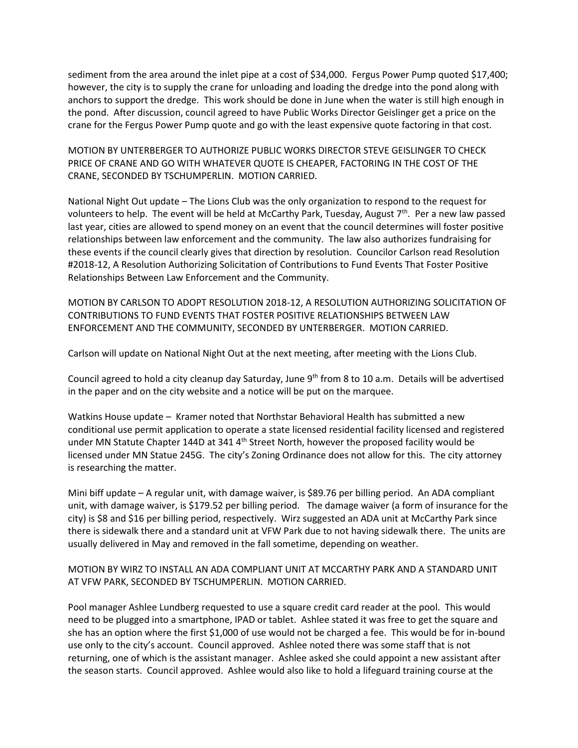sediment from the area around the inlet pipe at a cost of \$34,000. Fergus Power Pump quoted \$17,400; however, the city is to supply the crane for unloading and loading the dredge into the pond along with anchors to support the dredge. This work should be done in June when the water is still high enough in the pond. After discussion, council agreed to have Public Works Director Geislinger get a price on the crane for the Fergus Power Pump quote and go with the least expensive quote factoring in that cost.

MOTION BY UNTERBERGER TO AUTHORIZE PUBLIC WORKS DIRECTOR STEVE GEISLINGER TO CHECK PRICE OF CRANE AND GO WITH WHATEVER QUOTE IS CHEAPER, FACTORING IN THE COST OF THE CRANE, SECONDED BY TSCHUMPERLIN. MOTION CARRIED.

National Night Out update – The Lions Club was the only organization to respond to the request for volunteers to help. The event will be held at McCarthy Park, Tuesday, August 7th. Per a new law passed last year, cities are allowed to spend money on an event that the council determines will foster positive relationships between law enforcement and the community. The law also authorizes fundraising for these events if the council clearly gives that direction by resolution. Councilor Carlson read Resolution #2018-12, A Resolution Authorizing Solicitation of Contributions to Fund Events That Foster Positive Relationships Between Law Enforcement and the Community.

MOTION BY CARLSON TO ADOPT RESOLUTION 2018-12, A RESOLUTION AUTHORIZING SOLICITATION OF CONTRIBUTIONS TO FUND EVENTS THAT FOSTER POSITIVE RELATIONSHIPS BETWEEN LAW ENFORCEMENT AND THE COMMUNITY, SECONDED BY UNTERBERGER. MOTION CARRIED.

Carlson will update on National Night Out at the next meeting, after meeting with the Lions Club.

Council agreed to hold a city cleanup day Saturday, June 9<sup>th</sup> from 8 to 10 a.m. Details will be advertised in the paper and on the city website and a notice will be put on the marquee.

Watkins House update – Kramer noted that Northstar Behavioral Health has submitted a new conditional use permit application to operate a state licensed residential facility licensed and registered under MN Statute Chapter 144D at 341 4<sup>th</sup> Street North, however the proposed facility would be licensed under MN Statue 245G. The city's Zoning Ordinance does not allow for this. The city attorney is researching the matter.

Mini biff update – A regular unit, with damage waiver, is \$89.76 per billing period. An ADA compliant unit, with damage waiver, is \$179.52 per billing period. The damage waiver (a form of insurance for the city) is \$8 and \$16 per billing period, respectively. Wirz suggested an ADA unit at McCarthy Park since there is sidewalk there and a standard unit at VFW Park due to not having sidewalk there. The units are usually delivered in May and removed in the fall sometime, depending on weather.

## MOTION BY WIRZ TO INSTALL AN ADA COMPLIANT UNIT AT MCCARTHY PARK AND A STANDARD UNIT AT VFW PARK, SECONDED BY TSCHUMPERLIN. MOTION CARRIED.

Pool manager Ashlee Lundberg requested to use a square credit card reader at the pool. This would need to be plugged into a smartphone, IPAD or tablet. Ashlee stated it was free to get the square and she has an option where the first \$1,000 of use would not be charged a fee. This would be for in-bound use only to the city's account. Council approved. Ashlee noted there was some staff that is not returning, one of which is the assistant manager. Ashlee asked she could appoint a new assistant after the season starts. Council approved. Ashlee would also like to hold a lifeguard training course at the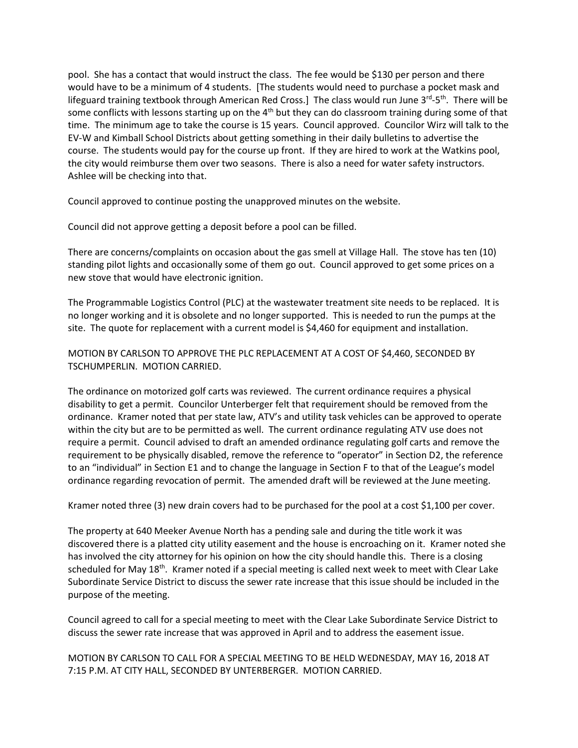pool. She has a contact that would instruct the class. The fee would be \$130 per person and there would have to be a minimum of 4 students. [The students would need to purchase a pocket mask and lifeguard training textbook through American Red Cross.] The class would run June 3<sup>rd</sup>-5<sup>th</sup>. There will be some conflicts with lessons starting up on the 4<sup>th</sup> but they can do classroom training during some of that time. The minimum age to take the course is 15 years. Council approved. Councilor Wirz will talk to the EV-W and Kimball School Districts about getting something in their daily bulletins to advertise the course. The students would pay for the course up front. If they are hired to work at the Watkins pool, the city would reimburse them over two seasons. There is also a need for water safety instructors. Ashlee will be checking into that.

Council approved to continue posting the unapproved minutes on the website.

Council did not approve getting a deposit before a pool can be filled.

There are concerns/complaints on occasion about the gas smell at Village Hall. The stove has ten (10) standing pilot lights and occasionally some of them go out. Council approved to get some prices on a new stove that would have electronic ignition.

The Programmable Logistics Control (PLC) at the wastewater treatment site needs to be replaced. It is no longer working and it is obsolete and no longer supported. This is needed to run the pumps at the site. The quote for replacement with a current model is \$4,460 for equipment and installation.

## MOTION BY CARLSON TO APPROVE THE PLC REPLACEMENT AT A COST OF \$4,460, SECONDED BY TSCHUMPERLIN. MOTION CARRIED.

The ordinance on motorized golf carts was reviewed. The current ordinance requires a physical disability to get a permit. Councilor Unterberger felt that requirement should be removed from the ordinance. Kramer noted that per state law, ATV's and utility task vehicles can be approved to operate within the city but are to be permitted as well. The current ordinance regulating ATV use does not require a permit. Council advised to draft an amended ordinance regulating golf carts and remove the requirement to be physically disabled, remove the reference to "operator" in Section D2, the reference to an "individual" in Section E1 and to change the language in Section F to that of the League's model ordinance regarding revocation of permit. The amended draft will be reviewed at the June meeting.

Kramer noted three (3) new drain covers had to be purchased for the pool at a cost \$1,100 per cover.

The property at 640 Meeker Avenue North has a pending sale and during the title work it was discovered there is a platted city utility easement and the house is encroaching on it. Kramer noted she has involved the city attorney for his opinion on how the city should handle this. There is a closing scheduled for May 18<sup>th</sup>. Kramer noted if a special meeting is called next week to meet with Clear Lake Subordinate Service District to discuss the sewer rate increase that this issue should be included in the purpose of the meeting.

Council agreed to call for a special meeting to meet with the Clear Lake Subordinate Service District to discuss the sewer rate increase that was approved in April and to address the easement issue.

MOTION BY CARLSON TO CALL FOR A SPECIAL MEETING TO BE HELD WEDNESDAY, MAY 16, 2018 AT 7:15 P.M. AT CITY HALL, SECONDED BY UNTERBERGER. MOTION CARRIED.